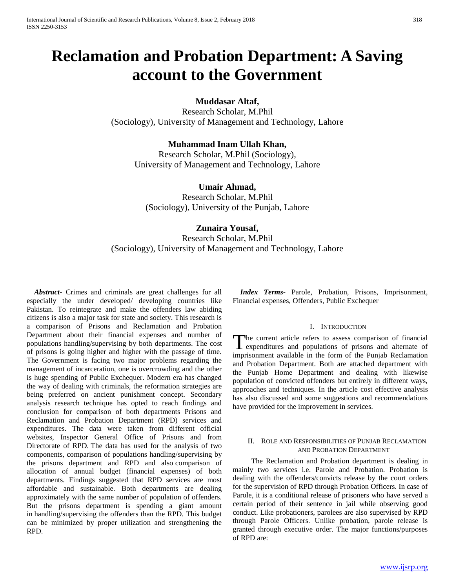# **Reclamation and Probation Department: A Saving account to the Government**

**Muddasar Altaf,** 

Research Scholar, M.Phil (Sociology), University of Management and Technology, Lahore

# **Muhammad Inam Ullah Khan,**

Research Scholar, M.Phil (Sociology), University of Management and Technology, Lahore

# **Umair Ahmad,**

Research Scholar, M.Phil (Sociology), University of the Punjab, Lahore

# **Zunaira Yousaf,**

Research Scholar, M.Phil (Sociology), University of Management and Technology, Lahore

 *Abstract***-** Crimes and criminals are great challenges for all especially the under developed/ developing countries like Pakistan. To reintegrate and make the offenders law abiding citizens is also a major task for state and society. This research is a comparison of Prisons and Reclamation and Probation Department about their financial expenses and number of populations handling/supervising by both departments. The cost of prisons is going higher and higher with the passage of time. The Government is facing two major problems regarding the management of incarceration, one is overcrowding and the other is huge spending of Public Exchequer. Modern era has changed the way of dealing with criminals, the reformation strategies are being preferred on ancient punishment concept. Secondary analysis research technique has opted to reach findings and conclusion for comparison of both departments Prisons and Reclamation and Probation Department (RPD) services and expenditures. The data were taken from different official websites, Inspector General Office of Prisons and from Directorate of RPD. The data has used for the analysis of two components, comparison of populations handling/supervising by the prisons department and RPD and also comparison of allocation of annual budget (financial expenses) of both departments. Findings suggested that RPD services are most affordable and sustainable. Both departments are dealing approximately with the same number of population of offenders. But the prisons department is spending a giant amount in handling/supervising the offenders than the RPD. This budget can be minimized by proper utilization and strengthening the RPD.

 *Index Terms*- Parole, Probation, Prisons, Imprisonment, Financial expenses, Offenders, Public Exchequer

# I. INTRODUCTION

he current article refers to assess comparison of financial The current article refers to assess comparison of financial<br>expenditures and populations of prisons and alternate of imprisonment available in the form of the Punjab Reclamation and Probation Department. Both are attached department with the Punjab Home Department and dealing with likewise population of convicted offenders but entirely in different ways, approaches and techniques. In the article cost effective analysis has also discussed and some suggestions and recommendations have provided for the improvement in services.

# II. ROLE AND RESPONSIBILITIES OF PUNJAB RECLAMATION AND PROBATION DEPARTMENT

 The Reclamation and Probation department is dealing in mainly two services i.e. Parole and Probation. Probation is dealing with the offenders/convicts release by the court orders for the supervision of RPD through Probation Officers. In case of Parole, it is a conditional release of prisoners who have served a certain period of their sentence in jail while observing good conduct. Like probationers, parolees are also supervised by RPD through Parole Officers. Unlike probation, parole release is granted through executive order. The major functions/purposes of RPD are: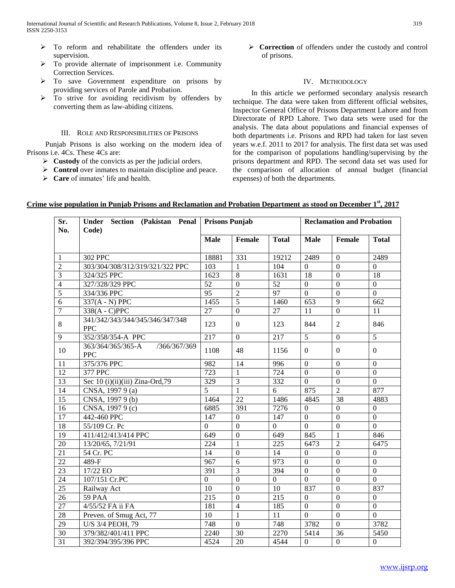- $\triangleright$  To reform and rehabilitate the offenders under its supervision.
- To provide alternate of imprisonment i.e. Community Correction Services.
- $\triangleright$  To save Government expenditure on prisons by providing services of Parole and Probation.
- $\triangleright$  To strive for avoiding recidivism by offenders by converting them as law-abiding citizens.

# III. ROLE AND RESPONSIBILITIES OF PRISONS

 Punjab Prisons is also working on the modern idea of Prisons i.e. 4Cs. These 4Cs are:

- **Example 3** Custody of the convicts as per the judicial orders.
- **EXECUTE:** Control over inmates to maintain discipline and peace.
- **Care** of inmates' life and health.

**Exercition** of offenders under the custody and control of prisons.

# IV. METHODOLOGY

 In this article we performed secondary analysis research technique. The data were taken from different official websites, Inspector General Office of Prisons Department Lahore and from Directorate of RPD Lahore. Two data sets were used for the analysis. The data about populations and financial expenses of both departments i.e. Prisons and RPD had taken for last seven years w.e.f. 2011 to 2017 for analysis. The first data set was used for the comparison of populations handling/supervising by the prisons department and RPD. The second data set was used for the comparison of allocation of annual budget (financial expenses) of both the departments.

| Sr.<br>No.      | Under<br>Section (Pakistan Penal<br>Code)       | <b>Prisons Punjab</b> |                  |                  | <b>Reclamation and Probation</b> |                  |                  |
|-----------------|-------------------------------------------------|-----------------------|------------------|------------------|----------------------------------|------------------|------------------|
|                 |                                                 | <b>Male</b>           | Female           | <b>Total</b>     | <b>Male</b>                      | Female           | <b>Total</b>     |
| $\mathbf{1}$    | 302 PPC                                         | 18881                 | 331              | 19212            | 2489                             | $\mathbf{0}$     | 2489             |
| $\overline{2}$  | 303/304/308/312/319/321/322 PPC                 | 103                   | $\mathbf{1}$     | 104              | $\overline{0}$                   | $\Omega$         | $\overline{0}$   |
| $\overline{3}$  | 324/325 PPC                                     | 1623                  | $\overline{8}$   | 1631             | 18                               | $\overline{0}$   | 18               |
| $\overline{4}$  | 327/328/329 PPC                                 | 52                    | $\overline{0}$   | 52               | $\overline{0}$                   | $\overline{0}$   | $\overline{0}$   |
| $\overline{5}$  | 334/336 PPC                                     | $\overline{95}$       | $\overline{2}$   | 97               | $\overline{0}$                   | $\overline{0}$   | $\overline{0}$   |
| $\overline{6}$  | 337(A - N) PPC                                  | 1455                  | $\overline{5}$   | 1460             | 653                              | 9                | 662              |
| $\overline{7}$  | 338(A - C)PPC                                   | 27                    | $\boldsymbol{0}$ | 27               | 11                               | $\overline{0}$   | 11               |
| 8               | 341/342/343/344/345/346/347/348<br><b>PPC</b>   | 123                   | $\overline{0}$   | 123              | 844                              | $\overline{2}$   | 846              |
| 9               | 352/358/354-A PPC                               | 217                   | $\overline{0}$   | 217              | 5                                | $\theta$         | 5                |
| 10              | 363/364/365/365-A<br>/366/367/369<br><b>PPC</b> | 1108                  | 48               | 1156             | $\mathbf{0}$                     | $\mathbf{0}$     | $\overline{0}$   |
| 11              | 375/376 PPC                                     | 982                   | 14               | 996              | $\overline{0}$                   | $\overline{0}$   | $\boldsymbol{0}$ |
| $\overline{12}$ | 377 PPC                                         | 723                   | $\mathbf{1}$     | 724              | $\mathbf{0}$                     | $\overline{0}$   | $\boldsymbol{0}$ |
| $\overline{13}$ | Sec 10 (i)(ii)(iii) Zina-Ord,79                 | 329                   | $\overline{3}$   | 332              | $\overline{0}$                   | $\overline{0}$   | $\overline{0}$   |
| 14              | CNSA, 1997 9 (a)                                | $\overline{5}$        | $\overline{1}$   | $\overline{6}$   | 875                              | $\overline{2}$   | 877              |
| $\overline{15}$ | CNSA, 1997 9 (b)                                | 1464                  | $\overline{22}$  | 1486             | 4845                             | $\overline{38}$  | 4883             |
| 16              | CNSA, 1997 9 (c)                                | 6885                  | 391              | 7276             | $\mathbf{0}$                     | $\mathbf{0}$     | $\overline{0}$   |
| $\overline{17}$ | 442-460 PPC                                     | $\overline{147}$      | $\overline{0}$   | $\overline{147}$ | $\mathbf{0}$                     | $\overline{0}$   | $\overline{0}$   |
| 18              | 55/109 Cr. Pc                                   | $\overline{0}$        | $\overline{0}$   | $\overline{0}$   | $\mathbf{0}$                     | $\overline{0}$   | $\overline{0}$   |
| 19              | 411/412/413/414 PPC                             | $\overline{649}$      | $\overline{0}$   | 649              | 845                              | $\mathbf{1}$     | 846              |
| 20              | 13/20/65, 7/21/91                               | $\overline{224}$      | $\mathbf{1}$     | $\overline{225}$ | 6473                             | $\overline{2}$   | 6475             |
| 21              | 54 Cr. PC                                       | 14                    | $\overline{0}$   | 14               | $\Omega$                         | $\Omega$         | $\Omega$         |
| $\overline{22}$ | 489-F                                           | 967                   | 6                | 973              | $\mathbf{0}$                     | $\overline{0}$   | $\overline{0}$   |
| $\overline{23}$ | $17/22$ EO                                      | 391                   | $\overline{3}$   | 394              | $\mathbf{0}$                     | $\overline{0}$   | $\boldsymbol{0}$ |
| 24              | $107/151$ Cr.PC                                 | $\boldsymbol{0}$      | $\overline{0}$   | $\overline{0}$   | $\overline{0}$                   | $\mathbf{0}$     | $\overline{0}$   |
| 25              | Railway Act                                     | 10                    | $\overline{0}$   | 10               | 837                              | $\mathbf{0}$     | 837              |
| 26              | <b>59 PAA</b>                                   | 215                   | $\boldsymbol{0}$ | 215              | $\mathbf{0}$                     | $\mathbf{0}$     | $\overline{0}$   |
| $\overline{27}$ | 4/55/52 FA ii FA                                | 181                   | $\overline{4}$   | 185              | $\overline{0}$                   | $\overline{0}$   | $\overline{0}$   |
| 28              | Preven. of Smug Act, 77                         | $\overline{10}$       | $\mathbf{1}$     | $\overline{11}$  | $\overline{0}$                   | $\overline{0}$   | $\overline{0}$   |
| 29              | U/S 3/4 PEOH, 79                                | 748                   | $\overline{0}$   | 748              | 3782                             | $\mathbf{0}$     | 3782             |
| 30              | 379/382/401/411 PPC                             | 2240                  | 30               | 2270             | 5414                             | 36               | 5450             |
| 31              | 392/394/395/396 PPC                             | 4524                  | 20               | 4544             | $\boldsymbol{0}$                 | $\boldsymbol{0}$ | $\overline{0}$   |

# **Crime wise population in Punjab Prisons and Reclamation and Probation Department as stood on December 1st, 2017**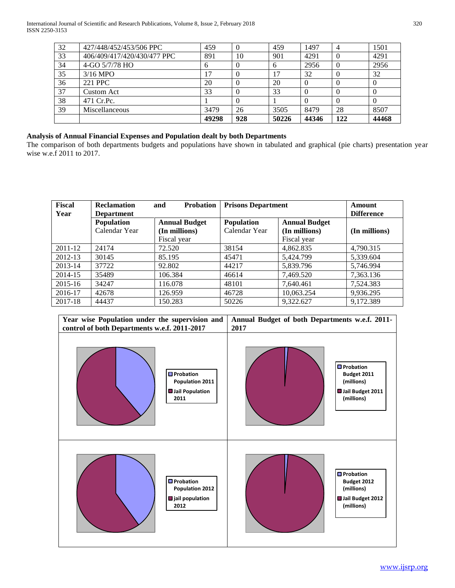| 32<br>$\theta$<br>$\theta$<br>8507 |
|------------------------------------|
|                                    |
|                                    |
|                                    |
|                                    |
|                                    |
| 2956                               |
| 4291                               |
| 1501                               |
|                                    |

# **Analysis of Annual Financial Expenses and Population dealt by both Departments**

The comparison of both departments budgets and populations have shown in tabulated and graphical (pie charts) presentation year wise w.e.f 2011 to 2017.

| <b>Fiscal</b> | <b>Reclamation</b> | <b>Probation</b><br>and | <b>Prisons Department</b> |                      | Amount        |
|---------------|--------------------|-------------------------|---------------------------|----------------------|---------------|
| Year          | <b>Department</b>  |                         |                           | <b>Difference</b>    |               |
|               | Population         | <b>Annual Budget</b>    | <b>Population</b>         | <b>Annual Budget</b> |               |
|               | Calendar Year      | (In millions)           | Calendar Year             | (In millions)        | (In millions) |
|               |                    | Fiscal year             |                           | Fiscal year          |               |
| 2011-12       | 24174              | 72.520                  | 38154                     | 4,862.835            | 4,790.315     |
| 2012-13       | 30145              | 85.195                  | 45471                     | 5,424.799            | 5,339.604     |
| $2013 - 14$   | 37722              | 92.802                  | 44217                     | 5,839.796            | 5,746.994     |
| 2014-15       | 35489              | 106.384                 | 46614                     | 7,469.520            | 7,363.136     |
| 2015-16       | 34247              | 116.078                 | 48101                     | 7.640.461            | 7,524.383     |
| 2016-17       | 42678              | 126.959                 | 46728                     | 10,063.254           | 9,936.295     |
| 2017-18       | 44437              | 150.283                 | 50226                     | 9,322.627            | 9,172.389     |

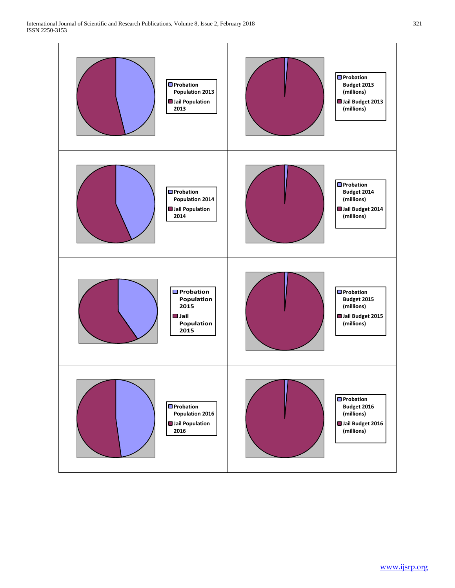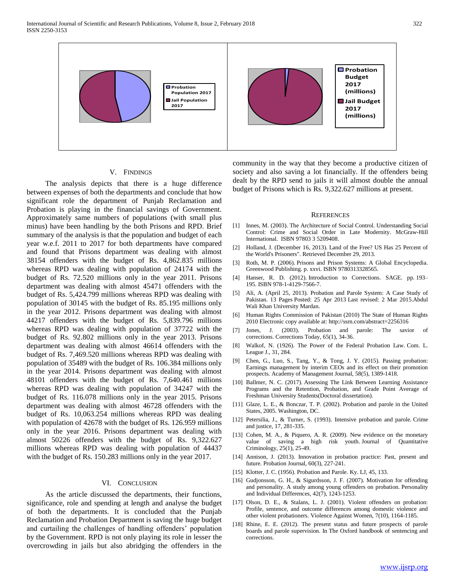

# V. FINDINGS

 The analysis depicts that there is a huge difference between expenses of both the departments and conclude that how significant role the department of Punjab Reclamation and Probation is playing in the financial savings of Government. Approximately same numbers of populations (with small plus minus) have been handling by the both Prisons and RPD. Brief summary of the analysis is that the population and budget of each year w.e.f. 2011 to 2017 for both departments have compared and found that Prisons department was dealing with almost 38154 offenders with the budget of Rs. 4,862.835 millions whereas RPD was dealing with population of 24174 with the budget of Rs. 72.520 millions only in the year 2011. Prisons department was dealing with almost 45471 offenders with the budget of Rs. 5,424.799 millions whereas RPD was dealing with population of 30145 with the budget of Rs. 85.195 millions only in the year 2012. Prisons department was dealing with almost 44217 offenders with the budget of Rs. 5,839.796 millions whereas RPD was dealing with population of 37722 with the budget of Rs. 92.802 millions only in the year 2013. Prisons department was dealing with almost 46614 offenders with the budget of Rs. 7,469.520 millions whereas RPD was dealing with population of 35489 with the budget of Rs. 106.384 millions only in the year 2014. Prisons department was dealing with almost 48101 offenders with the budget of Rs. 7,640.461 millions whereas RPD was dealing with population of 34247 with the budget of Rs. 116.078 millions only in the year 2015. Prisons department was dealing with almost 46728 offenders with the budget of Rs. 10,063.254 millions whereas RPD was dealing with population of 42678 with the budget of Rs. 126.959 millions only in the year 2016. Prisons department was dealing with almost 50226 offenders with the budget of Rs. 9,322.627 millions whereas RPD was dealing with population of 44437 with the budget of Rs. 150.283 millions only in the year 2017.

# VI. CONCLUSION

 As the article discussed the departments, their functions, significance, role and spending at length and analyse the budget of both the departments. It is concluded that the Punjab Reclamation and Probation Department is saving the huge budget and curtailing the challenges of handling offenders' population by the Government. RPD is not only playing its role in lesser the overcrowding in jails but also abridging the offenders in the

community in the way that they become a productive citizen of society and also saving a lot financially. If the offenders being dealt by the RPD send to jails it will almost double the annual budget of Prisons which is Rs. 9,322.627 millions at present.

#### **REFERENCES**

- [1] Innes, M. (2003). The Architecture of Social Control. [Understanding Social](https://books.google.com/books?id=6yXo5ARzFaMC&pg=PA95)  [Control: Crime and Social Order in Late Modernity.](https://books.google.com/books?id=6yXo5ARzFaMC&pg=PA95) McGraw-Hill International. [ISBN](https://en.wikipedia.org/wiki/International_Standard_Book_Number) [97803 3 5209408.](https://en.wikipedia.org/wiki/Special:BookSources/9780335209408)
- [2] Holland, J. (December 16, 2013). Land of the Free? US Has 25 Percent of [the World's Prisoners".](http://billmoyers.com/2013/12/16/land-of-the-free-us-has-5-of-the-worlds-population-and-25-of-its-prisoners/) Retrieved December 29, 2013.
- [3] Roth, M. P. (2006). [Prisons and Prison Systems: A Global Encyclopedia.](https://books.google.com/books?id=RTH31DgbTzgC&pg=PR26) Greenwood Publishing. p. xxvi. [ISBN](https://en.wikipedia.org/wiki/International_Standard_Book_Number) [9780313328565.](https://en.wikipedia.org/wiki/Special:BookSources/9780313328565)
- [4] Hanser, R. D. (2012). [Introduction to Corrections.](https://books.google.com/books?id=NfCZbAuMtysC&pg=PA193) SAGE. pp. 193– 195. [ISBN](https://en.wikipedia.org/wiki/International_Standard_Book_Number) [978-1-4129-7566-7.](https://en.wikipedia.org/wiki/Special:BookSources/978-1-4129-7566-7)
- [5] Ali, [A.](https://papers.ssrn.com/sol3/cf_dev/AbsByAuth.cfm?per_id=1654810) (April 25, 2013). Probation and Parole System: A Case Study of Pakistan. 13 Pages Posted: 25 Apr 2013 Last revised: 2 Mar 2015.Abdul Wali Khan University Mardan.
- [6] Human Rights Commission of Pakistan (2010) The State of Human Rights 2010 Electronic copy available at: http://ssrn.com/abstract=2256316
- [7] Jones, J. (2003). Probation and parole: The savior of corrections. Corrections Today, 65(1), 34-36.
- [8] Walkof, N. (1926). The Power of the Federal Probation Law. Com. L. League J., 31, 284.
- [9] Chen, G., Luo, S., Tang, Y., & Tong, J. Y. (2015). Passing probation: Earnings management by interim CEOs and its effect on their promotion prospects. Academy of Management Journal, 58(5), 1389-1418.
- [10] Ballmer, N. C. (2017). Assessing The Link Between Learning Assistance Programs and the Retention, Probation, and Grade Point Average of Freshman University Students(Doctoral dissertation).
- [11] Glaze, L. E., & Bonczar, T. P. (2002). Probation and parole in the United States, 2005. Washington, DC.
- [12] Petersilia, J., & Turner, S. (1993). Intensive probation and parole. Crime and justice, 17, 281-335.
- [13] Cohen, M. A., & Piquero, A. R. (2009). New evidence on the monetary value of saving a high risk youth. Journal of Quantitative Criminology, 25(1), 25-49.
- [14] Annison, J. (2013). Innovation in probation practice: Past, present and future. Probation Journal, 60(3), 227-241.
- [15] Klotter, J. C. (1956). Probation and Parole. Ky. LJ, 45, 133.
- [16] Gudjonsson, G. H., & Sigurdsson, J. F. (2007). Motivation for offending and personality. A study among young offenders on probation. Personality and Individual Differences, 42(7), 1243-1253.
- [17] Olson, D. E., & Stalans, L. J. (2001). Violent offenders on probation: Profile, sentence, and outcome differences among domestic violence and other violent probationers. Violence Against Women, 7(10), 1164-1185.
- [18] Rhine, E. E. (2012). The present status and future prospects of parole boards and parole supervision. In The Oxford handbook of sentencing and corrections.